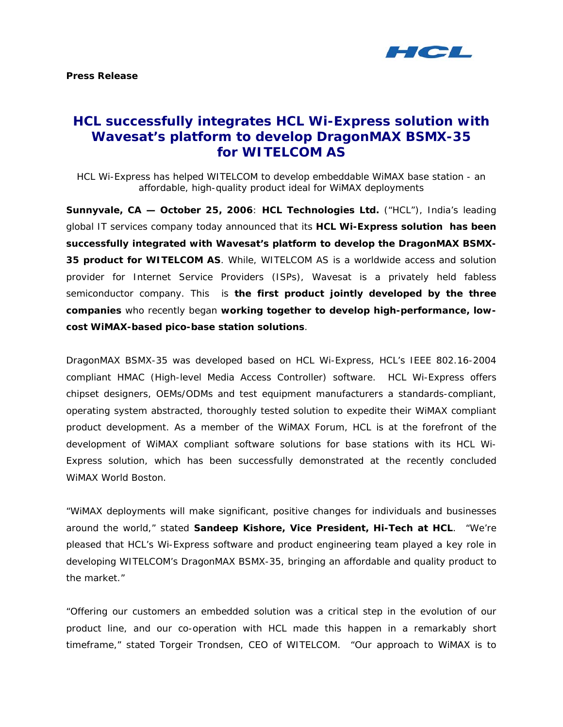

# **HCL successfully integrates HCL Wi-Express solution with Wavesat's platform to develop DragonMAX BSMX-35 for WITELCOM AS**

*HCL Wi-Express has helped WITELCOM to develop embeddable WiMAX base station - an affordable, high-quality product ideal for WiMAX deployments* 

**Sunnyvale, CA — October 25, 2006**: **HCL Technologies Ltd.** ("HCL"), India's leading global IT services company today announced that its **HCL Wi-Express solution has been successfully integrated with Wavesat's platform to develop the DragonMAX BSMX-35 product for WITELCOM AS**. While, WITELCOM AS is a worldwide access and solution provider for Internet Service Providers (ISPs), Wavesat is a privately held fabless semiconductor company. This is **the first product jointly developed by the three companies** who recently began **working together to develop high-performance, lowcost WiMAX-based pico-base station solutions**.

DragonMAX BSMX-35 was developed based on HCL Wi-Express, HCL's IEEE 802.16-2004 compliant HMAC (High-level Media Access Controller) software. HCL Wi-Express offers chipset designers, OEMs/ODMs and test equipment manufacturers a standards-compliant, operating system abstracted, thoroughly tested solution to expedite their WiMAX compliant product development. As a member of the WiMAX Forum, HCL is at the forefront of the development of WiMAX compliant software solutions for base stations with its HCL Wi-Express solution, which has been successfully demonstrated at the recently concluded WiMAX World Boston.

"WiMAX deployments will make significant, positive changes for individuals and businesses around the world," stated **Sandeep Kishore, Vice President, Hi-Tech at HCL**. "We're pleased that HCL's Wi-Express software and product engineering team played a key role in developing WITELCOM's DragonMAX BSMX-35, bringing an affordable and quality product to the market."

"Offering our customers an embedded solution was a critical step in the evolution of our product line, and our co-operation with HCL made this happen in a remarkably short timeframe," stated Torgeir Trondsen, CEO of WITELCOM. "Our approach to WiMAX is to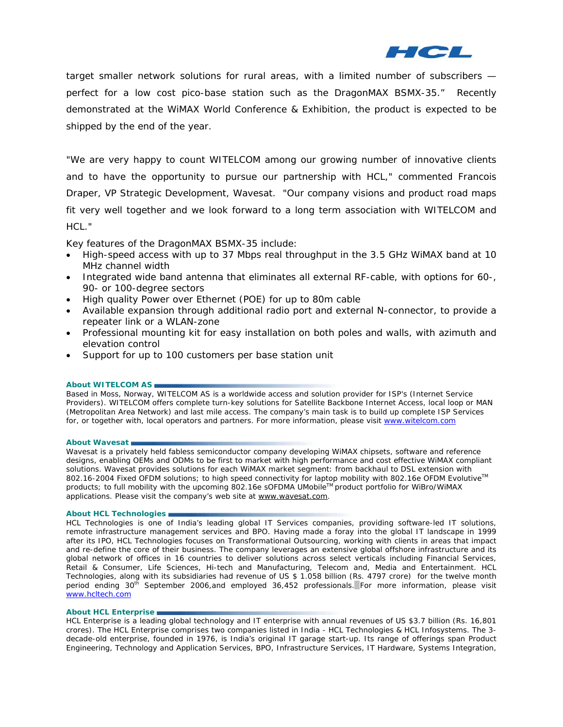

target smaller network solutions for rural areas, with a limited number of subscribers perfect for a low cost pico-base station such as the DragonMAX BSMX-35." Recently demonstrated at the WiMAX World Conference & Exhibition, the product is expected to be shipped by the end of the year.

"We are very happy to count WITELCOM among our growing number of innovative clients and to have the opportunity to pursue our partnership with HCL," commented Francois Draper, VP Strategic Development, Wavesat. "Our company visions and product road maps fit very well together and we look forward to a long term association with WITELCOM and HCL."

Key features of the DragonMAX BSMX-35 include:

- High-speed access with up to 37 Mbps real throughput in the 3.5 GHz WiMAX band at 10 MHz channel width
- Integrated wide band antenna that eliminates all external RF-cable, with options for 60-, 90- or 100-degree sectors
- High quality Power over Ethernet (POE) for up to 80m cable
- Available expansion through additional radio port and external N-connector, to provide a repeater link or a WLAN-zone
- Professional mounting kit for easy installation on both poles and walls, with azimuth and elevation control
- Support for up to 100 customers per base station unit

# **About WITELCOM AS**

Based in Moss, Norway, WITELCOM AS is a worldwide access and solution provider for ISP's (Internet Service Providers). WITELCOM offers complete turn-key solutions for Satellite Backbone Internet Access, local loop or MAN (Metropolitan Area Network) and last mile access. The company's main task is to build up complete ISP Services for, or together with, local operators and partners. For more information, please visit [www.witelcom.com](http://www.witelcom.com/) 

### **About Wavesat**

Wavesat is a privately held fabless semiconductor company developing WiMAX chipsets, software and reference designs, enabling OEMs and ODMs to be first to market with high performance and cost effective WiMAX compliant solutions. Wavesat provides solutions for each WiMAX market segment: from backhaul to DSL extension with 802.16-2004 Fixed OFDM solutions; to high speed connectivity for laptop mobility with 802.16e OFDM Evolutive<sup>™</sup> products; to full mobility with the upcoming 802.16e sOFDMA UMobileTM product portfolio for WiBro/WiMAX applications. Please visit the company's web site at www.wavesat.com.

## **About HCL Technologies**

HCL Technologies is one of India's leading global IT Services companies, providing software-led IT solutions, remote infrastructure management services and BPO. Having made a foray into the global IT landscape in 1999 after its IPO, HCL Technologies focuses on Transformational Outsourcing, working with clients in areas that impact and re-define the core of their business. The company leverages an extensive global offshore infrastructure and its global network of offices in 16 countries to deliver solutions across select verticals including Financial Services, Retail & Consumer, Life Sciences, Hi-tech and Manufacturing, Telecom and, Media and Entertainment. HCL Technologies, along with its subsidiaries had revenue of US \$ 1.058 billion (Rs. 4797 crore) for the twelve month period ending 30<sup>th</sup> September 2006,and employed 36,452 professionals. For more information, please visit [www.hcltech.com](http://www.hcltech.com/) 

## **About HCL Enterprise**

HCL Enterprise is a leading global technology and IT enterprise with annual revenues of US \$3.7 billion (Rs. 16,801 crores). The HCL Enterprise comprises two companies listed in India - HCL Technologies & HCL Infosystems. The 3 decade-old enterprise, founded in 1976, is India's original IT garage start-up. Its range of offerings span Product Engineering, Technology and Application Services, BPO, Infrastructure Services, IT Hardware, Systems Integration,